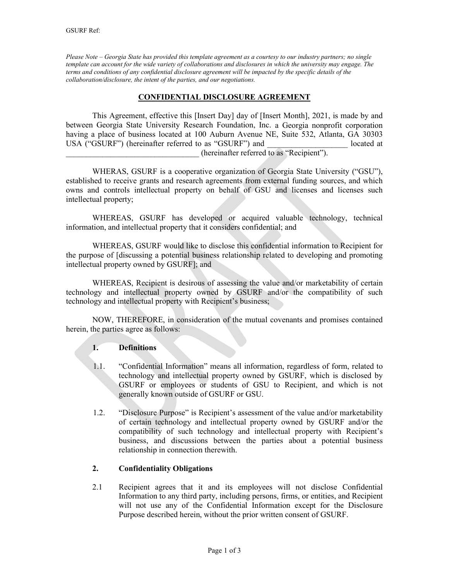*Please Note – Georgia State has provided this template agreement as a courtesy to our industry partners; no single template can account for the wide variety of collaborations and disclosures in which the university may engage. The terms and conditions of any confidential disclosure agreement will be impacted by the specific details of the collaboration/disclosure, the intent of the parties, and our negotiations.* 

### **CONFIDENTIAL DISCLOSURE AGREEMENT**

This Agreement, effective this [Insert Day] day of [Insert Month], 2021, is made by and between Georgia State University Research Foundation, Inc. a Georgia nonprofit corporation having a place of business located at 100 Auburn Avenue NE, Suite 532, Atlanta, GA 30303 USA ("GSURF") (hereinafter referred to as "GSURF") and located at

\_\_\_\_\_\_\_\_\_\_\_\_\_\_\_\_\_\_\_\_\_\_\_\_\_\_\_\_\_\_\_\_\_ (hereinafter referred to as "Recipient").

WHERAS, GSURF is a cooperative organization of Georgia State University ("GSU"), established to receive grants and research agreements from external funding sources, and which owns and controls intellectual property on behalf of GSU and licenses and licenses such intellectual property;

WHEREAS, GSURF has developed or acquired valuable technology, technical information, and intellectual property that it considers confidential; and

WHEREAS, GSURF would like to disclose this confidential information to Recipient for the purpose of [discussing a potential business relationship related to developing and promoting intellectual property owned by GSURF]; and

WHEREAS, Recipient is desirous of assessing the value and/or marketability of certain technology and intellectual property owned by GSURF and/or the compatibility of such technology and intellectual property with Recipient's business;

NOW, THEREFORE, in consideration of the mutual covenants and promises contained herein, the parties agree as follows:

#### **1. Definitions**

- 1.1. "Confidential Information" means all information, regardless of form, related to technology and intellectual property owned by GSURF, which is disclosed by GSURF or employees or students of GSU to Recipient, and which is not generally known outside of GSURF or GSU.
- 1.2. "Disclosure Purpose" is Recipient's assessment of the value and/or marketability of certain technology and intellectual property owned by GSURF and/or the compatibility of such technology and intellectual property with Recipient's business, and discussions between the parties about a potential business relationship in connection therewith.

## **2. Confidentiality Obligations**

2.1 Recipient agrees that it and its employees will not disclose Confidential Information to any third party, including persons, firms, or entities, and Recipient will not use any of the Confidential Information except for the Disclosure Purpose described herein, without the prior written consent of GSURF.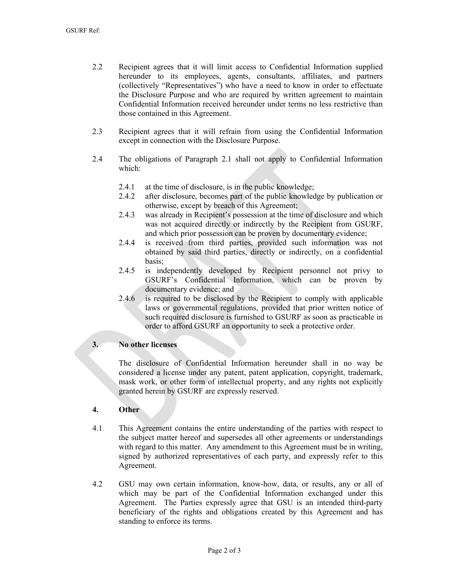- 2.2 Recipient agrees that it will limit access to Confidential Information supplied hereunder to its employees, agents, consultants, affiliates, and partners (collectively "Representatives") who have a need to know in order to effectuate the Disclosure Purpose and who are required by written agreement to maintain Confidential Information received hereunder under terms no less restrictive than those contained in this Agreement.
- 2.3 Recipient agrees that it will refrain from using the Confidential Information except in connection with the Disclosure Purpose.
- 2.4 The obligations of Paragraph 2.1 shall not apply to Confidential Information which:
	- 2.4.1 at the time of disclosure, is in the public knowledge;
	- 2.4.2 after disclosure, becomes part of the public knowledge by publication or otherwise, except by breach of this Agreement;
	- 2.4.3 was already in Recipient's possession at the time of disclosure and which was not acquired directly or indirectly by the Recipient from GSURF, and which prior possession can be proven by documentary evidence;
	- 2.4.4 is received from third parties, provided such information was not obtained by said third parties, directly or indirectly, on a confidential basis;
	- 2.4.5 is independently developed by Recipient personnel not privy to GSURF's Confidential Information, which can be proven by documentary evidence; and
	- 2.4.6 is required to be disclosed by the Recipient to comply with applicable laws or governmental regulations, provided that prior written notice of such required disclosure is furnished to GSURF as soon as practicable in order to afford GSURF an opportunity to seek a protective order.

## **3. No other licenses**

The disclosure of Confidential Information hereunder shall in no way be considered a license under any patent, patent application, copyright, trademark, mask work, or other form of intellectual property, and any rights not explicitly granted herein by GSURF are expressly reserved.

# **4. Other**

- 4.1 This Agreement contains the entire understanding of the parties with respect to the subject matter hereof and supersedes all other agreements or understandings with regard to this matter. Any amendment to this Agreement must be in writing, signed by authorized representatives of each party, and expressly refer to this Agreement.
- 4.2 GSU may own certain information, know-how, data, or results, any or all of which may be part of the Confidential Information exchanged under this Agreement. The Parties expressly agree that GSU is an intended third-party beneficiary of the rights and obligations created by this Agreement and has standing to enforce its terms.